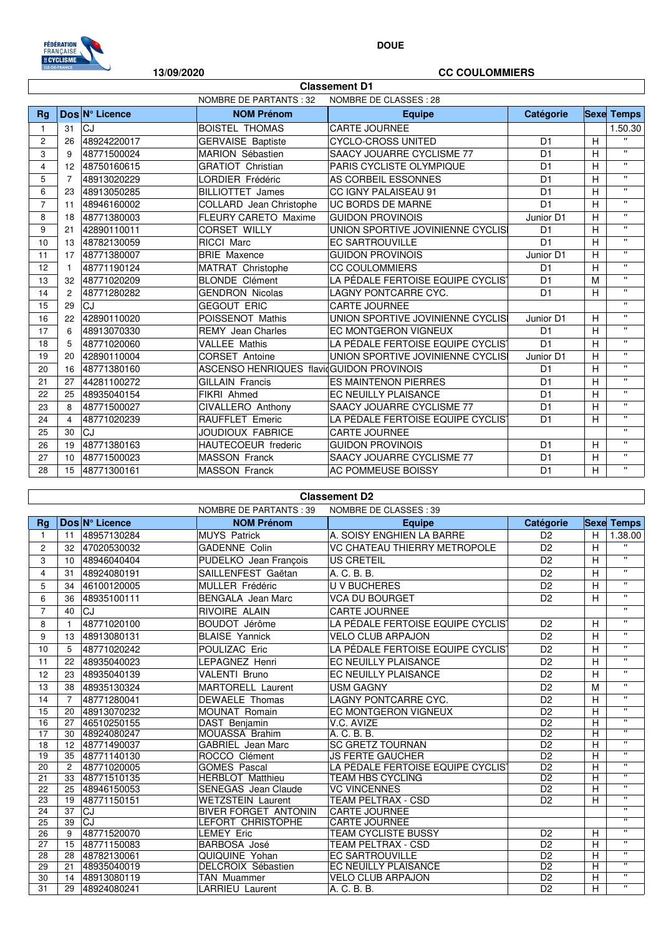

## **DOUE**

## **13/09/2020 CC COULOMMIERS**

٦

| <b>Classement D1</b> |                                                         |                |                                           |                                   |                |   |                    |  |  |  |
|----------------------|---------------------------------------------------------|----------------|-------------------------------------------|-----------------------------------|----------------|---|--------------------|--|--|--|
|                      | <b>NOMBRE DE PARTANTS: 32</b><br>NOMBRE DE CLASSES : 28 |                |                                           |                                   |                |   |                    |  |  |  |
| <b>Rg</b>            |                                                         | Dos Nº Licence | <b>NOM Prénom</b>                         | <b>Equipe</b>                     | Catégorie      |   | <b>Sexe Temps</b>  |  |  |  |
| $\mathbf{1}$         | 31                                                      | CJ.            | <b>BOISTEL THOMAS</b>                     | <b>CARTE JOURNEE</b>              |                |   | 1.50.30            |  |  |  |
| $\overline{2}$       | 26                                                      | 48924220017    | <b>GERVAISE Baptiste</b>                  | <b>CYCLO-CROSS UNITED</b>         | D <sub>1</sub> | H | $\mathbf{H}$       |  |  |  |
| 3                    | 9                                                       | 48771500024    | MARION Sébastien                          | SAACY JOUARRE CYCLISME 77         | D <sub>1</sub> | H | $\mathbf{u}$       |  |  |  |
| 4                    | 12                                                      | 48750160615    | <b>GRATIOT Christian</b>                  | PARIS CYCLISTE OLYMPIQUE          | D <sub>1</sub> | H | $\mathbf{H}$       |  |  |  |
| 5                    | $\overline{7}$                                          | 48913020229    | LORDIER Frédéric                          | AS CORBEIL ESSONNES               | D <sub>1</sub> | H | $\mathbf{H}$       |  |  |  |
| 6                    | 23                                                      | 48913050285    | <b>BILLIOTTET James</b>                   | CC IGNY PALAISEAU 91              | D <sub>1</sub> | H | $\mathbf{H}$       |  |  |  |
| $\overline{7}$       | 11                                                      | 48946160002    | COLLARD Jean Christophe                   | <b>UC BORDS DE MARNE</b>          | D <sub>1</sub> | H | $\mathbf{H}$       |  |  |  |
| 8                    | 18                                                      | 48771380003    | <b>FLEURY CARETO Maxime</b>               | <b>GUIDON PROVINOIS</b>           | Junior D1      | H | $\mathbf{H}$       |  |  |  |
| 9                    | 21                                                      | 42890110011    | <b>CORSET WILLY</b>                       | UNION SPORTIVE JOVINIENNE CYCLISI | D <sub>1</sub> | H | $\mathbf{H}$       |  |  |  |
| 10                   | 13                                                      | 48782130059    | <b>RICCI Marc</b>                         | <b>EC SARTROUVILLE</b>            | D <sub>1</sub> | H | $\mathbf{H}$       |  |  |  |
| 11                   | 17                                                      | 48771380007    | <b>BRIE Maxence</b>                       | <b>GUIDON PROVINOIS</b>           | Junior D1      | H | $\mathbf{u}$       |  |  |  |
| 12                   | $\mathbf{1}$                                            | 48771190124    | MATRAT Christophe                         | <b>CC COULOMMIERS</b>             | D <sub>1</sub> | H | $\mathbf{H}$       |  |  |  |
| 13                   | 32                                                      | 48771020209    | <b>BLONDE Clément</b>                     | LA PÉDALE FERTOISE EQUIPE CYCLIST | D <sub>1</sub> | M | $\mathbf{H}$       |  |  |  |
| 14                   | 2                                                       | 48771280282    | <b>GENDRON Nicolas</b>                    | LAGNY PONTCARRE CYC.              | D <sub>1</sub> | H | $\mathbf{H}$       |  |  |  |
| 15                   | 29                                                      | CJ             | <b>GEGOUT ERIC</b>                        | <b>CARTE JOURNEE</b>              |                |   | $\mathbf{u}$       |  |  |  |
| 16                   | 22                                                      | 42890110020    | POISSENOT Mathis                          | UNION SPORTIVE JOVINIENNE CYCLISI | Junior D1      | H | $\mathbf{u}$       |  |  |  |
| 17                   | 6                                                       | 48913070330    | <b>REMY</b> Jean Charles                  | EC MONTGERON VIGNEUX              | D <sub>1</sub> | H | $\mathbf{H}$       |  |  |  |
| 18                   | 5                                                       | 48771020060    | <b>VALLEE Mathis</b>                      | LA PÉDALE FERTOISE EQUIPE CYCLIST | D <sub>1</sub> | H | $\mathbf{H}$       |  |  |  |
| 19                   | 20                                                      | 42890110004    | <b>CORSET Antoine</b>                     | UNION SPORTIVE JOVINIENNE CYCLISI | Junior D1      | H | $\mathbf{H}$       |  |  |  |
| 20                   | 16                                                      | 48771380160    | ASCENSO HENRIQUES flavid GUIDON PROVINOIS |                                   | D <sub>1</sub> | H | $\bar{\mathbf{u}}$ |  |  |  |
| 21                   | 27                                                      | 44281100272    | <b>GILLAIN Francis</b>                    | <b>ES MAINTENON PIERRES</b>       | D <sub>1</sub> | H | $\mathbf{H}$       |  |  |  |
| 22                   | 25                                                      | 48935040154    | FIKRI Ahmed                               | EC NEUILLY PLAISANCE              | D <sub>1</sub> | H | $\mathbf{H}$       |  |  |  |
| 23                   | 8                                                       | 48771500027    | CIVALLERO Anthony                         | SAACY JOUARRE CYCLISME 77         | D <sub>1</sub> | H | $\mathbf{u}$       |  |  |  |
| 24                   | $\overline{4}$                                          | 48771020239    | <b>RAUFFLET Emeric</b>                    | LA PÉDALE FERTOISE EQUIPE CYCLIS` | D <sub>1</sub> | H | $\mathbf{H}$       |  |  |  |
| 25                   | 30                                                      | CJ             | JOUDIOUX FABRICE                          | <b>CARTE JOURNEE</b>              |                |   | $\mathbf{u}$       |  |  |  |
| 26                   | 19                                                      | 48771380163    | <b>HAUTECOEUR</b> frederic                | <b>GUIDON PROVINOIS</b>           | D <sub>1</sub> | H | $\mathbf{H}$       |  |  |  |
| 27                   | 10                                                      | 48771500023    | <b>MASSON Franck</b>                      | SAACY JOUARRE CYCLISME 77         | D <sub>1</sub> | H | $\mathbf{u}$       |  |  |  |
| 28                   | 15                                                      | 48771300161    | <b>MASSON Franck</b>                      | AC POMMEUSE BOISSY                | D <sub>1</sub> | H | $\mathbf{H}$       |  |  |  |

## **Classement D2**

|                |                |                | <b>NOMBRE DE PARTANTS: 39</b> | NOMBRE DE CLASSES : 39                        |                 |                |                           |
|----------------|----------------|----------------|-------------------------------|-----------------------------------------------|-----------------|----------------|---------------------------|
| <b>Rg</b>      |                | Dos N° Licence | <b>NOM Prénom</b>             | <b>Equipe</b>                                 | Catégorie       |                | <b>Sexe Temps</b>         |
| 1              | 11             | 48957130284    | <b>MUYS Patrick</b>           | A. SOISY ENGHIEN LA BARRE                     | D <sub>2</sub>  | H              | 1.38.00                   |
| 2              | 32             | 47020530032    | <b>GADENNE Colin</b>          | VC CHATEAU THIERRY METROPOLE                  | D <sub>2</sub>  | H              | $\mathbf{H}$              |
| 3              | 10             | 48946040404    | PUDELKO Jean François         | <b>US CRETEIL</b>                             | D <sub>2</sub>  | H              | $\mathbf{H}$              |
| 4              | 31             | 48924080191    | SAILLENFEST Gaëtan            | A. C. B. B.                                   | D <sub>2</sub>  | H              | $\mathbf{H}$              |
| 5              | 34             | 46100120005    | <b>MULLER Frédéric</b>        | <b>U V BUCHERES</b>                           | D <sub>2</sub>  | H              | $\mathbf{H}$              |
| 6              | 36             | 48935100111    | <b>BENGALA</b> Jean Marc      | <b>VCA DU BOURGET</b>                         | D <sub>2</sub>  | H              | $\mathbf{H}$              |
| $\overline{7}$ | 40             | CJ             | RIVOIRE ALAIN                 | CARTE JOURNEE                                 |                 |                | $\mathbf{H}$              |
| 8              | $\overline{1}$ | 48771020100    | BOUDOT Jérôme                 | LA PÉDALE FERTOISE EQUIPE CYCLIS <sup>-</sup> | D <sub>2</sub>  | H              | $\mathbf{H}$              |
| 9              | 13             | 48913080131    | <b>BLAISE Yannick</b>         | VELO CLUB ARPAJON                             | D <sub>2</sub>  | H              | $\mathbf{H}$              |
| 10             | 5              | 48771020242    | POULIZAC Eric                 | LA PÉDALE FERTOISE EQUIPE CYCLIST             | D <sub>2</sub>  | H              | $\mathbf{H}$              |
| 11             | 22             | 48935040023    | LEPAGNEZ Henri                | EC NEUILLY PLAISANCE                          | D <sub>2</sub>  | H              | $\pmb{\mathsf{H}}$        |
| 12             | 23             | 48935040139    | <b>VALENTI Bruno</b>          | EC NEUILLY PLAISANCE                          | D <sub>2</sub>  | H              | $\boldsymbol{\mathsf{H}}$ |
| 13             | 38             | 48935130324    | <b>MARTORELL Laurent</b>      | <b>USM GAGNY</b>                              | D <sub>2</sub>  | M              | $\mathbf{H}$              |
| 14             | $\overline{7}$ | 48771280041    | <b>DEWAELE Thomas</b>         | LAGNY PONTCARRE CYC.                          | D <sub>2</sub>  | н              | $\mathbf{H}$              |
| 15             | 20             | 48913070232    | <b>MOUNAT Romain</b>          | EC MONTGERON VIGNEUX                          | D <sub>2</sub>  | H              | $\mathbf{H}$              |
| 16             | 27             | 46510250155    | DAST Benjamin                 | V.C. AVIZE                                    | D <sub>2</sub>  | H              | $\mathbf{H}$              |
| 17             | 30             | 48924080247    | MOUASSA Brahim                | A. C. B. B.                                   | $\overline{D2}$ | H              | Ŧ                         |
| 18             | 12             | 48771490037    | <b>GABRIEL Jean Marc</b>      | <b>SC GRETZ TOURNAN</b>                       | D <sub>2</sub>  | H              | $\mathbf{H}$              |
| 19             | 35             | 48771140130    | ROCCO Clément                 | <b>JS FERTE GAUCHER</b>                       | $\overline{D2}$ | H              | π                         |
| 20             | $\overline{2}$ | 48771020005    | <b>GOMES Pascal</b>           | LA PÉDALE FERTOISE EQUIPE CYCLIST             | D <sub>2</sub>  | H              | $\mathbf{H}$              |
| 21             | 33             | 48771510135    | <b>HERBLOT Matthieu</b>       | <b>TEAM HBS CYCLING</b>                       | D <sub>2</sub>  | H              | $\overline{\mathbf{u}}$   |
| 22             | 25             | 48946150053    | <b>SENEGAS</b> Jean Claude    | <b>VC VINCENNES</b>                           | D <sub>2</sub>  | H              | $\boldsymbol{\mathsf{H}}$ |
| 23             | 19             | 48771150151    | <b>WETZSTEIN Laurent</b>      | <b>TEAM PELTRAX - CSD</b>                     | D <sub>2</sub>  | H              | π                         |
| 24             | 37             | CJ             | <b>BIVER FORGET ANTONIN</b>   | <b>CARTE JOURNEE</b>                          |                 |                | Ŧ                         |
| 25             | 39             | CJ             | <b>LEFORT CHRISTOPHE</b>      | <b>CARTE JOURNEE</b>                          |                 |                | $\mathbf{H}$              |
| 26             | 9              | 48771520070    | <b>LEMEY Eric</b>             | <b>TEAM CYCLISTE BUSSY</b>                    | D <sub>2</sub>  | H              | $\mathbf{H}$              |
| 27             | 15             | 48771150083    | <b>BARBOSA José</b>           | <b>TEAM PELTRAX - CSD</b>                     | D <sub>2</sub>  | H              | $\bullet$                 |
| 28             | 28             | 48782130061    | QUIQUINE Yohan                | EC SARTROUVILLE                               | $\overline{D2}$ | $\overline{H}$ | $\pmb{\mathsf{H}}$        |
| 29             | 21             | 48935040019    | DELCROIX Sébastien            | EC NEUILLY PLAISANCE                          | D <sub>2</sub>  | H              | $\bullet$                 |
| 30             | 14             | 48913080119    | TAN Muammer                   | <b>VELO CLUB ARPAJON</b>                      | D <sub>2</sub>  | H              | $\overline{ }$            |
| 31             | 29             | 48924080241    | <b>LARRIEU Laurent</b>        | A. C. B. B.                                   | D <sub>2</sub>  | H              | $\bullet$                 |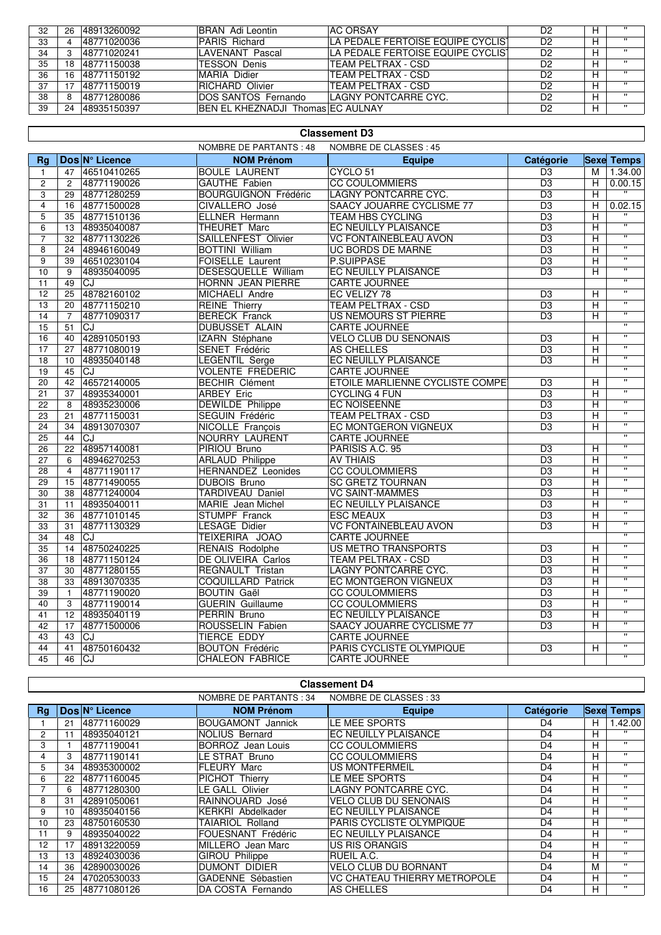| 32 | 26 | 48913260092 | BRAN Adi Leontin                  | <b>AC ORSAY</b>                   | D2             | $\cdots$ |
|----|----|-------------|-----------------------------------|-----------------------------------|----------------|----------|
| 33 |    | 48771020036 | PARIS Richard                     | LA PÉDALE FERTOISE EQUIPE CYCLIST | D <sub>2</sub> | - 11     |
| 34 |    | 48771020241 | LAVENANT Pascal                   | LA PÉDALE FERTOISE EQUIPE CYCLIST | D <sub>2</sub> |          |
| 35 | 8  | 48771150038 | <b>TESSON Denis</b>               | TEAM PELTRAX - CSD                | D2             |          |
| 36 | 6  | 48771150192 | MARIA Didier                      | TEAM PELTRAX - CSD                | D2             | - 11     |
| 37 |    | 48771150019 | RICHARD Olivier                   | TEAM PELTRAX - CSD                | D2             |          |
| 38 |    | 48771280086 | <b>DOS SANTOS Fernando</b>        | ILAGNY PONTCARRE CYC.             | D2             | $\cdots$ |
| 39 | 24 | 48935150397 | BEN EL KHEZNADJI Thomas EC AULNAY |                                   | D2             | $\cdots$ |

|                         | <b>Classement D3</b>                                    |                |                             |                                  |                 |                |                         |  |  |
|-------------------------|---------------------------------------------------------|----------------|-----------------------------|----------------------------------|-----------------|----------------|-------------------------|--|--|
|                         | <b>NOMBRE DE PARTANTS: 48</b><br>NOMBRE DE CLASSES : 45 |                |                             |                                  |                 |                |                         |  |  |
| <b>Rg</b>               |                                                         | Dos N° Licence | <b>NOM Prénom</b>           | <b>Equipe</b>                    | Catégorie       |                | <b>Sexe Temps</b>       |  |  |
| $\mathbf{1}$            | 47                                                      | 46510410265    | <b>BOULE LAURENT</b>        | CYCLO <sub>51</sub>              | D <sub>3</sub>  | M              | 1.34.00                 |  |  |
| $\overline{2}$          | $\overline{2}$                                          | 48771190026    | <b>GAUTHE Fabien</b>        | <b>CC COULOMMIERS</b>            | D <sub>3</sub>  | $\overline{H}$ | 0.00.15                 |  |  |
| 3                       | 29                                                      | 48771280259    | <b>BOURGUIGNON Frédéric</b> | LAGNY PONTCARRE CYC.             | $\overline{D3}$ | $\overline{H}$ |                         |  |  |
| $\overline{\mathbf{4}}$ | 16                                                      | 48771500028    | CIVALLERO José              | SAACY JOUARRE CYCLISME 77        | D <sub>3</sub>  | H              | 0.02.15                 |  |  |
| 5                       | 35                                                      | 48771510136    | <b>ELLNER Hermann</b>       | <b>TEAM HBS CYCLING</b>          | D <sub>3</sub>  | Н              | $\mathbf{u}$            |  |  |
| 6                       | 13                                                      | 48935040087    | <b>THEURET Marc</b>         | EC NEUILLY PLAISANCE             | $\overline{D3}$ | H              | $\overline{w}$          |  |  |
| $\overline{7}$          | 32                                                      | 48771130226    | SAILLENFEST Olivier         | <b>VC FONTAINEBLEAU AVON</b>     | D <sub>3</sub>  | H.             | $\overline{\mathbf{u}}$ |  |  |
| 8                       | 24                                                      | 48946160049    | <b>BOTTINI William</b>      | UC BORDS DE MARNE                | D <sub>3</sub>  | H              | $\overline{w}$          |  |  |
| $\overline{9}$          | 39                                                      | 46510230104    | FOISELLE Laurent            | P.SUIPPASE                       | D <sub>3</sub>  | $\overline{H}$ | π                       |  |  |
| 10                      | 9                                                       | 48935040095    | <b>DESESQUELLE William</b>  | <b>EC NEUILLY PLAISANCE</b>      | D <sub>3</sub>  | H              | $\overline{\mathbf{u}}$ |  |  |
| 11                      | 49                                                      | lCJ.           | <b>HORNN JEAN PIERRE</b>    | <b>CARTE JOURNEE</b>             |                 |                | $\overline{w}$          |  |  |
| 12                      | 25                                                      | 48782160102    | MICHAELI Andre              | EC VELIZY 78                     | D <sub>3</sub>  | Н              | $\overline{w}$          |  |  |
| 13                      | 20                                                      | 48771150210    | <b>REINE Thierry</b>        | <b>TEAM PELTRAX - CSD</b>        | D3              | н              | $\overline{\mathbf{u}}$ |  |  |
| 14                      | 7                                                       | 48771090317    | <b>BERECK Franck</b>        | <b>US NEMOURS ST PIERRE</b>      | D <sub>3</sub>  | H              | $\overline{\mathbf{u}}$ |  |  |
| 15                      | 51                                                      | lCJ.           | <b>DUBUSSET ALAIN</b>       | <b>CARTE JOURNEE</b>             |                 |                | $\overline{11}$         |  |  |
| 16                      | 40                                                      | 42891050193    | IZARN Stéphane              | <b>VELO CLUB DU SENONAIS</b>     | D3              | H              | $\overline{\mathbf{u}}$ |  |  |
| 17                      | 27                                                      | 48771080019    | SENET Frédéric              | AS CHELLES                       | D <sub>3</sub>  | H              | $\overline{\mathbf{u}}$ |  |  |
| 18                      | 10                                                      | 48935040148    | <b>LEGENTIL Serge</b>       | <b>EC NEUILLY PLAISANCE</b>      | D <sub>3</sub>  | H.             | $\overline{w}$          |  |  |
| 19                      | 45                                                      | lCJ.           | <b>VOLENTE FREDERIC</b>     | <b>CARTE JOURNEE</b>             |                 |                | $\overline{w}$          |  |  |
| 20                      | 42                                                      | 46572140005    | <b>BECHIR Clément</b>       | ETOILE MARLIENNE CYCLISTE COMPET | D <sub>3</sub>  | H              | π                       |  |  |
| 21                      | 37                                                      | 48935340001    | <b>ARBEY Eric</b>           | <b>CYCLING 4 FUN</b>             | D <sub>3</sub>  | H              | π                       |  |  |
| 22                      | 8                                                       | 48935230006    | <b>DEWILDE Philippe</b>     | <b>EC NOISEENNE</b>              | D <sub>3</sub>  | H              | $\overline{\mathbf{u}}$ |  |  |
| 23                      | 21                                                      | 48771150031    | SEGUIN Frédéric             | <b>TEAM PELTRAX - CSD</b>        | D <sub>3</sub>  | H              | π                       |  |  |
| 24                      | 34                                                      | 48913070307    | <b>NICOLLE François</b>     | EC MONTGERON VIGNEUX             | D <sub>3</sub>  | H              | $\overline{w}$          |  |  |
| 25                      | 44                                                      | lCJ            | NOURRY LAURENT              | <b>CARTE JOURNEE</b>             |                 |                | $\overline{\mathbf{u}}$ |  |  |
| 26                      | 22                                                      | 48957140081    | PIRIOU Bruno                | PARISIS A.C. 95                  | D <sub>3</sub>  | H              | π                       |  |  |
| 27                      | 6                                                       | 48946270253    | <b>ARLAUD Philippe</b>      | <b>AV THIAIS</b>                 | D <sub>3</sub>  | H              | $\overline{\mathbf{u}}$ |  |  |
| 28                      | $\overline{4}$                                          | 48771190117    | <b>HERNANDEZ</b> Leonides   | <b>CC COULOMMIERS</b>            | D <sub>3</sub>  | н              | π                       |  |  |
| 29                      | 15                                                      | 48771490055    | <b>DUBOIS Bruno</b>         | <b>SC GRETZ TOURNAN</b>          | $\overline{D3}$ | H              | $\overline{w}$          |  |  |
| 30                      | 38                                                      | 48771240004    | <b>TARDIVEAU Daniel</b>     | <b>VC SAINT-MAMMES</b>           | D <sub>3</sub>  | H              | $\overline{w}$          |  |  |
| 31                      | 11                                                      | 48935040011    | MARIE Jean Michel           | EC NEUILLY PLAISANCE             | D <sub>3</sub>  | H              | $\overline{w}$          |  |  |
| 32                      | 36                                                      | 48771010145    | <b>STUMPF</b> Franck        | <b>ESC MEAUX</b>                 | D <sub>3</sub>  | H              | $\overline{\mathbf{u}}$ |  |  |
| 33                      | 31                                                      | 48771130329    | <b>LESAGE Didier</b>        | <b>VC FONTAINEBLEAU AVON</b>     | D <sub>3</sub>  | H              | $\overline{\mathbf{u}}$ |  |  |
| 34                      | 48                                                      | lCJ.           | TEIXERIRA JOAO              | <b>CARTE JOURNEE</b>             |                 |                | $\overline{ }$          |  |  |
| 35                      | 14                                                      | 48750240225    | <b>RENAIS Rodolphe</b>      | <b>US METRO TRANSPORTS</b>       | D <sub>3</sub>  | н              | $\overline{w}$          |  |  |
| 36                      | 18                                                      | 48771150124    | DE OLIVEIRA Carlos          | TEAM PELTRAX - CSD               | D <sub>3</sub>  | $\overline{H}$ | $\overline{\mathbf{u}}$ |  |  |
| 37                      | 30                                                      | 48771280155    | <b>REGNAULT Tristan</b>     | LAGNY PONTCARRE CYC.             | D <sub>3</sub>  | $\overline{H}$ | $\overline{\mathbf{u}}$ |  |  |
| 38                      | 33                                                      | 48913070335    | <b>COQUILLARD Patrick</b>   | <b>EC MONTGERON VIGNEUX</b>      | D <sub>3</sub>  | H              | $\overline{w}$          |  |  |
| 39                      | $\mathbf{1}$                                            | 48771190020    | <b>BOUTIN Gaël</b>          | <b>CC COULOMMIERS</b>            | D <sub>3</sub>  | н              | π                       |  |  |
| 40                      | 3                                                       | 48771190014    | <b>GUERIN</b> Guillaume     | <b>CC COULOMMIERS</b>            | D <sub>3</sub>  | H              | $\overline{w}$          |  |  |
| 41                      | 12                                                      | 48935040119    | <b>PERRIN Bruno</b>         | <b>EC NEUILLY PLAISANCE</b>      | D <sub>3</sub>  | H              | $\overline{w}$          |  |  |
| 42                      | 17                                                      | 48771500006    | ROUSSELIN Fabien            | SAACY JOUARRE CYCLISME 77        | D <sub>3</sub>  | H              | $\overline{\mathbf{u}}$ |  |  |
| 43                      | 43                                                      | <b>CJ</b>      | <b>TIERCE EDDY</b>          | CARTE JOURNEE                    |                 |                | $\overline{\mathbf{u}}$ |  |  |
| 44                      | 41                                                      | 48750160432    | <b>BOUTON Frédéric</b>      | PARIS CYCLISTE OLYMPIQUE         | D <sub>3</sub>  | H              | π                       |  |  |
| 45                      | 46                                                      | <b>CJ</b>      | <b>CHALEON FABRICE</b>      | <b>CARTE JOURNEE</b>             |                 |                | $\overline{u}$          |  |  |
|                         |                                                         |                |                             |                                  |                 |                |                         |  |  |
|                         |                                                         |                |                             | <b>Classement D4</b>             |                 |                |                         |  |  |

|                 | Classement D4                                    |                |                          |                                 |                |   |                   |  |  |
|-----------------|--------------------------------------------------|----------------|--------------------------|---------------------------------|----------------|---|-------------------|--|--|
|                 | NOMBRE DE PARTANTS: 34<br>NOMBRE DE CLASSES : 33 |                |                          |                                 |                |   |                   |  |  |
| Rg              |                                                  | Dos N° Licence | <b>NOM Prénom</b>        | <b>Equipe</b>                   | Catégorie      |   | <b>Sexe Temps</b> |  |  |
|                 | 21                                               | 48771160029    | <b>BOUGAMONT Jannick</b> | LE MEE SPORTS                   | D4             | н | 1.42.00           |  |  |
| $\overline{2}$  | 11                                               | 48935040121    | <b>NOLIUS Bernard</b>    | <b>EC NEUILLY PLAISANCE</b>     | D <sub>4</sub> | н | $\mathbf{H}$      |  |  |
| 3               |                                                  | 48771190041    | <b>BORROZ</b> Jean Louis | <b>CC COULOMMIERS</b>           | D <sub>4</sub> | н | $\mathbf{H}$      |  |  |
| 4               | 3                                                | 48771190141    | LE STRAT Bruno           | <b>CC COULOMMIERS</b>           | D <sub>4</sub> | н | $\mathbf{H}$      |  |  |
| 5               | 34                                               | 48935300002    | <b>FLEURY Marc</b>       | US MONTFERMEIL                  | D <sub>4</sub> | н |                   |  |  |
| 6               | 22                                               | 48771160045    | PICHOT Thierry           | LE MEE SPORTS                   | D <sub>4</sub> | н | π.                |  |  |
|                 | 6                                                | 48771280300    | LE GALL Olivier          | LAGNY PONTCARRE CYC.            | D <sub>4</sub> | Н | $\mathbf{H}$      |  |  |
| 8               | 31                                               | 42891050061    | RAINNOUARD José          | <b>VELO CLUB DU SENONAIS</b>    | D <sub>4</sub> | н | $\mathbf{H}$      |  |  |
| 9               | 10                                               | 48935040156    | KERKRI Abdelkader        | <b>EC NEUILLY PLAISANCE</b>     | D <sub>4</sub> | н | $\mathbf{H}$      |  |  |
| 10              | 23                                               | 48750160530    | TAIARIOL Rolland         | <b>PARIS CYCLISTE OLYMPIQUE</b> | D <sub>4</sub> | н | $\mathbf{H}$      |  |  |
| 11              | 9                                                | 48935040022    | FOUESNANT Frédéric       | <b>EC NEUILLY PLAISANCE</b>     | D <sub>4</sub> | н | $\mathbf{H}$      |  |  |
| 12 <sup>2</sup> | 17                                               | 48913220059    | MILLERO Jean Marc        | US RIS ORANGIS                  | D <sub>4</sub> | н | $\mathbf{H}$      |  |  |
| 13              | 13                                               | 48924030036    | <b>GIROU Philippe</b>    | <b>RUEIL A.C.</b>               | D <sub>4</sub> | н |                   |  |  |
| 14              | 36                                               | 42890030026    | <b>DUMONT DIDIER</b>     | <b>VELO CLUB DU BORNANT</b>     | D <sub>4</sub> | М | $\mathbf{H}$      |  |  |
| 15              | 24                                               | 47020530033    | GADENNE Sébastien        | VC CHATEAU THIERRY METROPOLE    | D <sub>4</sub> | н | $\mathbf{H}$      |  |  |
| 16              | 25                                               | 48771080126    | DA COSTA Fernando        | AS CHELLES                      | D <sub>4</sub> | н | π.                |  |  |